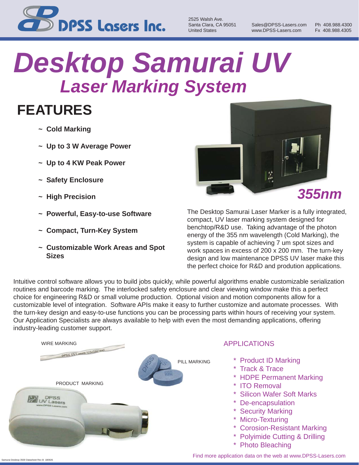

2525 Walsh Ave. United States www.DPSS-Lasers.com Fx 408.988.4305

Santa Clara, CA 95051 Sales@DPSS-Lasers.com Ph 408.988.4300

## *Laser Marking System Desktop Samurai UV*

### **FEATURES**

- **~ Cold Marking**
- **~ Up to 3 W Average Power**
- **~ Up to 4 KW Peak Power**
- **~ Safety Enclosure**
- **~ High Precision**
- **~ Powerful, Easy-to-use Software**
- **~ Compact, Turn-Key System**
- **~ Customizable Work Areas and Spot Sizes**



The Desktop Samurai Laser Marker is a fully integrated, compact, UV laser marking system designed for benchtop/R&D use. Taking advantage of the photon energy of the 355 nm wavelength (Cold Marking), the system is capable of achieving 7 um spot sizes and work spaces in excess of 200 x 200 mm. The turn-key design and low maintenance DPSS UV laser make this the perfect choice for R&D and prodution applications.

Intuitive control software allows you to build jobs quickly, while powerful algorithms enable customizable serialization routines and barcode marking. The interlocked safety enclosure and clear viewing window make this a perfect choice for engineering R&D or small volume production. Optional vision and motion components allow for a customizable level of integration. Software APIs make it easy to further customize and automate processes. With the turn-key design and easy-to-use functions you can be processing parts within hours of receiving your system. Our Application Specialists are always available to help with even the most demanding applications, offering industry-leading customer support.



#### APPLICATIONS

- \* Product ID Marking
- \* Track & Trace
- \* HDPE Permanent Marking
- \* ITO Removal
- \* Silicon Wafer Soft Marks
- \* De-encapsulation
- \* Security Marking
- \* Micro-Texturing
- \* Corosion-Resistant Marking
- \* Polyimide Cutting & Drilling
- \* Photo Bleaching

Find more application data on the web at www.DPSS-Lasers.com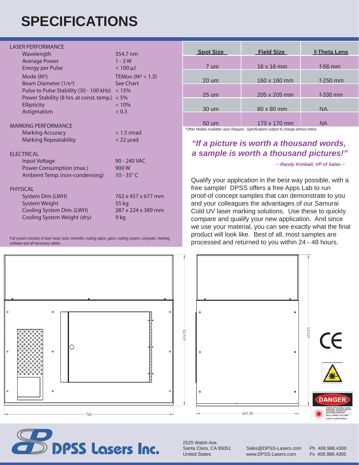## **SPECIFICATIONS**

#### LASER PERFORMANCE

| Wavelength                                      | 354.7 nm             |
|-------------------------------------------------|----------------------|
| <b>Average Power</b>                            | $1 - 3W$             |
| <b>Energy per Pulse</b>                         | $< 100 \mu$          |
| Mode (M <sup>2</sup> )                          | TEMoo ( $M^2$ < 1.3) |
| Beam Diameter (1/e <sup>2</sup> )               | See Chart            |
| Pulse to Pulse Stability (30 - 100 kHz)         | < 15%                |
| Power Stability (8 hrs. at const. temp.) $<$ 5% |                      |
| Ellipticity                                     | < 10%                |
| Astigmatism                                     | < 0.3                |
| MARKING PERFORMANCE                             |                      |
| <b>Marking Accuracy</b>                         | $<$ 1.5 mrad         |
| <b>Marking Repeatability</b>                    | $<$ 22 $\mu$ rad     |
| <b>ELECTRICAL</b>                               |                      |
| Input Voltage                                   | 90 - 240 VAC         |
| Power Consumption (max.)                        | 900W                 |
| Ambient Temp. (non-condensing)                  | $10 - 35^{\circ}$ C  |
| <b>PHYSICAL</b>                                 |                      |
| System Dim (LWH)                                | 762 x 457 x 677 mm   |
| <b>System Weight</b>                            | 55 kg                |
| Cooling System Dim. (LWH)                       | 287 x 224 x 389 mm   |
| Cooling System Weight (dry)                     | 9 ka                 |

Full system consists of laser head, laser controller, routing optics, galvo, cooling system, computer, marking software and all necessary cables.

| <b>Spot Size</b> | <b>Field Size</b> | f-Theta Lens |
|------------------|-------------------|--------------|
| 7 um             | 16 x 16 mm        | $f-56$ mm    |
| 20 um            | 160 x 160 mm      | $f-250$ mm   |
| 25 um            | 205 x 205 mm      | $f - 330$ mm |
| 30 um            | 80 x 80 mm        | ΝA           |
| 50 um            | 170 x 170 mm      | ΝA           |

\*Other Models Available Upon Request. Specifications subject to change without notice.

#### *"If a picture is worth a thousand words, a sample is worth a thousand pictures!"*

 *~ Randy Kimball, VP of Sales ~*

Qualify your application in the best way possible, with a free sample! DPSS offers a free Apps Lab to run proof-of concept samples that can demonstrate to you and your colleagues the advantages of our Samurai Cold UV laser marking solutions. Use these to quickly compare and qualify your new application. And since we use your material, you can see exactly what the final product will look like. Best of all, most samples are processed and returned to you within 24 - 48 hours.





2525 Walsh Ave.<br>Santa Clara. CA 95051

Sales@DPSS-Lasers.com Ph 408.988.4300 United States www.DPSS-Lasers.com Fx 408.988.4305